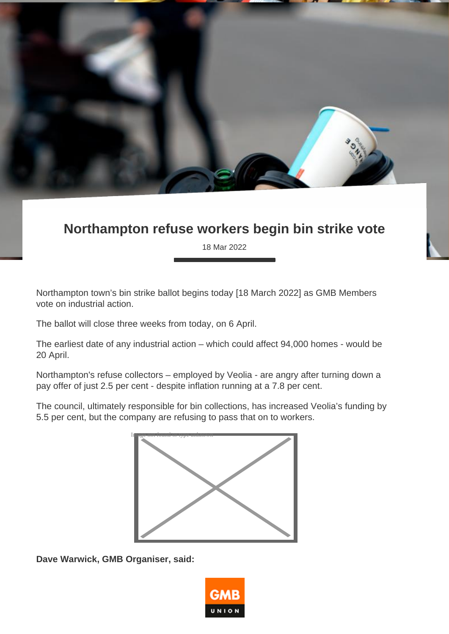

## **Northampton refuse workers begin bin strike vote**

18 Mar 2022

Northampton town's bin strike ballot begins today [18 March 2022] as GMB Members vote on industrial action.

The ballot will close three weeks from today, on 6 April.

The earliest date of any industrial action – which could affect 94,000 homes - would be 20 April.

Northampton's refuse collectors – employed by Veolia - are angry after turning down a pay offer of just 2.5 per cent - despite inflation running at a 7.8 per cent.

The council, ultimately responsible for bin collections, has increased Veolia's funding by 5.5 per cent, but the company are refusing to pass that on to workers.



**Dave Warwick, GMB Organiser, said:**